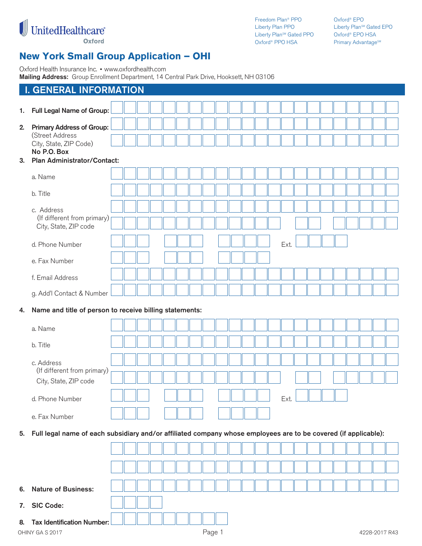

Freedom Plan® PPO Liberty Plan PPO Liberty Plan<sup>sM</sup> Gated PPO Oxford® PPO HSA

Oxford® EPO Liberty Plan<sup>sM</sup> Gated EPO Oxford® EPO HSA Primary Advantage<sup>SM</sup>

# **New York Small Group Application – OHI**

Oxford Health Insurance Inc. ■ www.oxfordhealth.com

**Mailing Address:** Group Enrollment Department, 14 Central Park Drive, Hooksett, NH 03106

|    | <b>Mannig Addition.</b> Croup Embilition, Doparation, TH Contract and Drive, Hooksett, NH TOO TOO               |  |  |  |        |  |  |      |  |  |  |               |
|----|-----------------------------------------------------------------------------------------------------------------|--|--|--|--------|--|--|------|--|--|--|---------------|
|    | <b>I. GENERAL INFORMATION</b>                                                                                   |  |  |  |        |  |  |      |  |  |  |               |
| 1. | Full Legal Name of Group:                                                                                       |  |  |  |        |  |  |      |  |  |  |               |
| 2. | <b>Primary Address of Group:</b>                                                                                |  |  |  |        |  |  |      |  |  |  |               |
|    | (Street Address<br>City, State, ZIP Code)                                                                       |  |  |  |        |  |  |      |  |  |  |               |
|    | No P.O. Box                                                                                                     |  |  |  |        |  |  |      |  |  |  |               |
| 3. | Plan Administrator/Contact:                                                                                     |  |  |  |        |  |  |      |  |  |  |               |
|    | a. Name                                                                                                         |  |  |  |        |  |  |      |  |  |  |               |
|    | b. Title                                                                                                        |  |  |  |        |  |  |      |  |  |  |               |
|    | c. Address<br>(If different from primary)                                                                       |  |  |  |        |  |  |      |  |  |  |               |
|    | City, State, ZIP code                                                                                           |  |  |  |        |  |  |      |  |  |  |               |
|    | d. Phone Number                                                                                                 |  |  |  |        |  |  | Ext. |  |  |  |               |
|    | e. Fax Number                                                                                                   |  |  |  |        |  |  |      |  |  |  |               |
|    | f. Email Address                                                                                                |  |  |  |        |  |  |      |  |  |  |               |
|    | g. Add'l Contact & Number                                                                                       |  |  |  |        |  |  |      |  |  |  |               |
| 4. | Name and title of person to receive billing statements:                                                         |  |  |  |        |  |  |      |  |  |  |               |
|    | a. Name                                                                                                         |  |  |  |        |  |  |      |  |  |  |               |
|    | b. Title                                                                                                        |  |  |  |        |  |  |      |  |  |  |               |
|    | c. Address                                                                                                      |  |  |  |        |  |  |      |  |  |  |               |
|    | (If different from primary)                                                                                     |  |  |  |        |  |  |      |  |  |  |               |
|    | City, State, ZIP code                                                                                           |  |  |  |        |  |  |      |  |  |  |               |
|    | d. Phone Number                                                                                                 |  |  |  |        |  |  | Ext. |  |  |  |               |
|    | e. Fax Number                                                                                                   |  |  |  |        |  |  |      |  |  |  |               |
| 5. | Full legal name of each subsidiary and/or affiliated company whose employees are to be covered (if applicable): |  |  |  |        |  |  |      |  |  |  |               |
|    |                                                                                                                 |  |  |  |        |  |  |      |  |  |  |               |
|    |                                                                                                                 |  |  |  |        |  |  |      |  |  |  |               |
| 6. | <b>Nature of Business:</b>                                                                                      |  |  |  |        |  |  |      |  |  |  |               |
|    |                                                                                                                 |  |  |  |        |  |  |      |  |  |  |               |
| 7. | <b>SIC Code:</b>                                                                                                |  |  |  |        |  |  |      |  |  |  |               |
| 8. | <b>Tax Identification Number:</b>                                                                               |  |  |  |        |  |  |      |  |  |  |               |
|    | OHINY GAS 2017                                                                                                  |  |  |  | Page 1 |  |  |      |  |  |  | 4228-2017 R43 |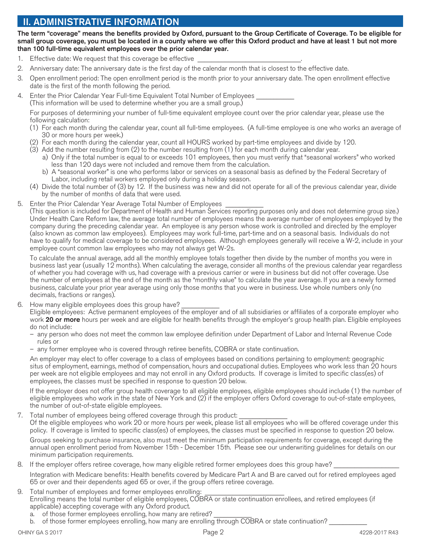# **II. ADMINISTRATIVE INFORMATION**

**The term "coverage" means the benefits provided by Oxford, pursuant to the Group Certificate of Coverage. To be eligible for small group coverage, you must be located in a county where we offer this Oxford product and have at least 1 but not more than 100 full-time equivalent employees over the prior calendar year.**

- 1. Effective date: We request that this coverage be effective
- 2. Anniversary date: The anniversary date is the first day of the calendar month that is closest to the effective date.
- 3. Open enrollment period: The open enrollment period is the month prior to your anniversary date. The open enrollment effective date is the first of the month following the period.
- 4. Enter the Prior Calendar Year Full-time Equivalent Total Number of Employees (This information will be used to determine whether you are a small group.)

 For purposes of determining your number of full-time equivalent employee count over the prior calendar year, please use the following calculation:

- (1) For each month during the calendar year, count all full-time employees. (A full-time employee is one who works an average of 30 or more hours per week.)
- (2) For each month during the calendar year, count all HOURS worked by part-time employees and divide by 120.
- (3) Add the number resulting from (2) to the number resulting from (1) for each month during calendar year.
	- a) Only if the total number is equal to or exceeds 101 employees, then you must verify that "seasonal workers" who worked less than 120 days were not included and remove them from the calculation.
	- b) A "seasonal worker" is one who performs labor or services on a seasonal basis as defined by the Federal Secretary of Labor, including retail workers employed only during a holiday season.
- (4) Divide the total number of (3) by 12. If the business was new and did not operate for all of the previous calendar year, divide by the number of months of data that were used.
- 5. Enter the Prior Calendar Year Average Total Number of Employees

(This question is included for Department of Health and Human Services reporting purposes only and does not determine group size.) Under Health Care Reform law, the average total number of employees means the average number of employees employed by the company during the preceding calendar year. An employee is any person whose work is controlled and directed by the employer (also known as common law employees). Employees may work full-time, part-time and on a seasonal basis. Individuals do not have to qualify for medical coverage to be considered employees. Although employees generally will receive a W-2, include in your employee count common law employees who may not always get W-2s.

 To calculate the annual average, add all the monthly employee totals together then divide by the number of months you were in business last year (usually 12 months). When calculating the average, consider all months of the previous calendar year regardless of whether you had coverage with us, had coverage with a previous carrier or were in business but did not offer coverage. Use the number of employees at the end of the month as the "monthly value" to calculate the year average. If you are a newly formed business, calculate your prior year average using only those months that you were in business. Use whole numbers only (no decimals, fractions or ranges).

6. How many eligible employees does this group have?

 Eligible employees: Active permanent employees of the employer and of all subsidiaries or affiliates of a corporate employer who work **20 or more** hours per week and are eligible for health benefits through the employer's group health plan. Eligible employees do not include:

- any person who does not meet the common law employee definition under Department of Labor and Internal Revenue Code rules or
- any former employee who is covered through retiree benefits, COBRA or state continuation.

 An employer may elect to offer coverage to a class of employees based on conditions pertaining to employment: geographic situs of employment, earnings, method of compensation, hours and occupational duties. Employees who work less than 20 hours per week are not eligible employees and may not enroll in any Oxford products. If coverage is limited to specific class(es) of employees, the classes must be specified in response to question 20 below.

 If the employer does not offer group health coverage to all eligible employees, eligible employees should include (1) the number of eligible employees who work in the state of New York and (2) if the employer offers Oxford coverage to out-of-state employees, the number of out-of-state eligible employees.

7. Total number of employees being offered coverage through this product:

 Of the eligible employees who work 20 or more hours per week, please list all employees who will be offered coverage under this policy. If coverage is limited to specific class(es) of employees, the classes must be specified in response to question 20 below.

 Groups seeking to purchase insurance, also must meet the minimum participation requirements for coverage, except during the annual open enrollment period from November 15th - December 15th. Please see our underwriting guidelines for details on our minimum participation requirements.

#### 8. If the employer offers retiree coverage, how many eligible retired former employees does this group have?

 Integration with Medicare benefits: Health benefits covered by Medicare Part A and B are carved out for retired employees aged 65 or over and their dependents aged 65 or over, if the group offers retiree coverage.

- 9. Total number of employees and former employees enrolling: Enrolling means the total number of eligible employees, COBRA or state continuation enrollees, and retired employees (if applicable) accepting coverage with any Oxford product.
	- a. of those former employees enrolling, how many are retired?
	- b. of those former employees enrolling, how many are enrolling through COBRA or state continuation?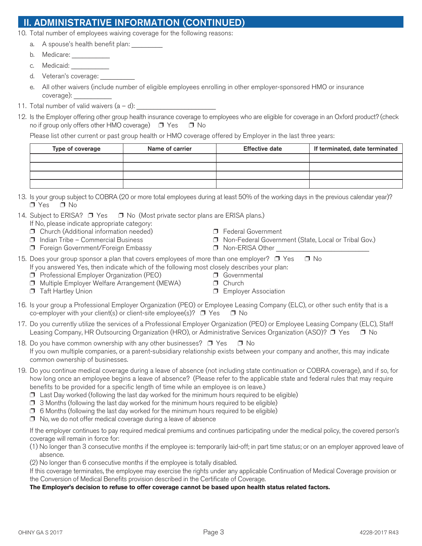# **ADMINISTRATIVE INFORMATION (CONTINUED)**

10. Total number of employees waiving coverage for the following reasons:

- a. A spouse's health benefit plan:
- b. Medicare:
- c. Medicaid:
- d. Veteran's coverage:
- e. All other waivers (include number of eligible employees enrolling in other employer-sponsored HMO or insurance coverage): \_\_\_\_\_\_\_\_\_\_\_
- 11. Total number of valid waivers  $(a d)$ :
- 12. Is the Employer offering other group health insurance coverage to employees who are eligible for coverage in an Oxford product? (check no if group only offers other HMO coverage)  $\Box$  Yes  $\Box$  No

Please list other current or past group health or HMO coverage offered by Employer in the last three years:

| Type of coverage | Name of carrier | <b>Effective date</b> | If terminated, date terminated |
|------------------|-----------------|-----------------------|--------------------------------|
|                  |                 |                       |                                |
|                  |                 |                       |                                |
|                  |                 |                       |                                |
|                  |                 |                       |                                |

13. Is your group subject to COBRA (20 or more total employees during at least 50% of the working days in the previous calendar year)?  $\Box$  Yes  $\Box$  No

### 14. Subject to ERISA?  $\Box$  Yes  $\Box$  No (Most private sector plans are ERISA plans.)

- If No, please indicate appropriate category:
- □ Church (Additional information needed) □ Federal Government<br>□ Indian Tribe Commercial Business □ S Non-Federal Governn
- 
- $\Box$  Foreign Government/Foreign Embassy  $\Box$  Non-ERISA Other
- $\Box$  Non-Federal Government (State, Local or Tribal Gov.)
- 
- 15. Does your group sponsor a plan that covers employees of more than one employer?  $\Box$  Yes  $\Box$  No If you answered Yes, then indicate which of the following most closely describes your plan:
	- $\Box$  Professional Employer Organization (PEO)  $\Box$  Governmental
	- $\Box$  Multiple Employer Welfare Arrangement (MEWA)  $\Box$  Church
	- **S** Taft Hartley Union S Employer Association
- 
- 
- 16. Is your group a Professional Employer Organization (PEO) or Employee Leasing Company (ELC), or other such entity that is a co-employer with your client(s) or client-site employee(s)?  $\Box$  Yes  $\Box$  No
- 17. Do you currently utilize the services of a Professional Employer Organization (PEO) or Employee Leasing Company (ELC), Staff Leasing Company, HR Outsourcing Organization (HRO), or Administrative Services Organization (ASO)?  $\Box$  Yes  $\Box$  No
- 18. Do you have common ownership with any other businesses?  $\Box$  Yes  $\Box$  No If you own multiple companies, or a parent-subsidiary relationship exists between your company and another, this may indicate common ownership of businesses.
- 19. Do you continue medical coverage during a leave of absence (not including state continuation or COBRA coverage), and if so, for how long once an employee begins a leave of absence? (Please refer to the applicable state and federal rules that may require benefits to be provided for a specific length of time while an employee is on leave.)
	- $\Box$  Last Day worked (following the last day worked for the minimum hours required to be eligible)
	- $\Box$  3 Months (following the last day worked for the minimum hours required to be eligible)
	- $\Box$  6 Months (following the last day worked for the minimum hours required to be eligible)
	- $\Box$  No, we do not offer medical coverage during a leave of absence

 If the employer continues to pay required medical premiums and continues participating under the medical policy, the covered person's coverage will remain in force for:

- (1) No longer than 3 consecutive months if the employee is: temporarily laid-off; in part time status; or on an employer approved leave of absence.
- (2) No longer than 6 consecutive months if the employee is totally disabled.

 If this coverage terminates, the employee may exercise the rights under any applicable Continuation of Medical Coverage provision or the Conversion of Medical Benefits provision described in the Certificate of Coverage.

#### **The Employer's decision to refuse to offer coverage cannot be based upon health status related factors.**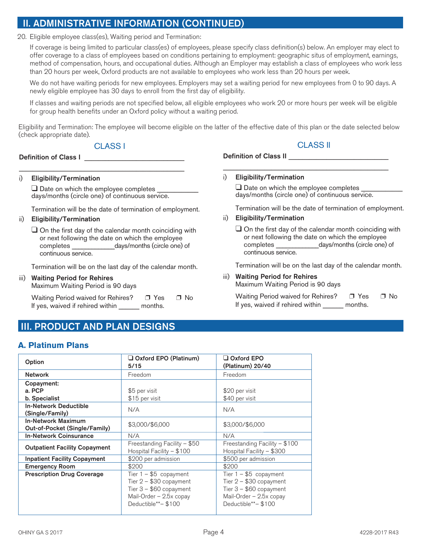## **II. ADMINISTRATIVE INFORMATION (CONTINUED)**

20. Eligible employee class(es), Waiting period and Termination:

 If coverage is being limited to particular class(es) of employees, please specify class definition(s) below. An employer may elect to offer coverage to a class of employees based on conditions pertaining to employment: geographic situs of employment, earnings, method of compensation, hours, and occupational duties. Although an Employer may establish a class of employees who work less than 20 hours per week, Oxford products are not available to employees who work less than 20 hours per week.

 We do not have waiting periods for new employees. Employers may set a waiting period for new employees from 0 to 90 days. A newly eligible employee has 30 days to enroll from the first day of eligibility.

 If classes and waiting periods are not specified below, all eligible employees who work 20 or more hours per week will be eligible for group health benefits under an Oxford policy without a waiting period.

Eligibility and Termination: The employee will become eligible on the latter of the effective date of this plan or the date selected below (check appropriate date).

### CLASS I

Definition of Class I

#### i) **Eligibility/Termination**

□ Date on which the employee completes days/months (circle one) of continuous service.

\_\_\_\_\_\_\_\_\_\_\_\_\_\_\_\_\_\_\_\_\_\_\_\_\_\_\_\_\_\_\_\_\_\_\_\_\_\_\_\_\_\_\_\_\_\_\_\_

Termination will be the date of termination of employment.

#### ii) **Eligibility/Termination**

 $\Box$  On the first day of the calendar month coinciding with or next following the date on which the employee completes \_\_\_\_\_\_\_\_\_\_\_\_\_days/months (circle one) of continuous service.

Termination will be on the last day of the calendar month.

### iii) **Waiting Period for Rehires**

Maximum Waiting Period is 90 days

Waiting Period waived for Rehires? □ Yes □ No If yes, waived if rehired within months.

## **III. PRODUCT AND PLAN DESIGNS**

### **A. Platinum Plans**

| Option                                                     | $\Box$ Oxford EPO (Platinum)<br>5/15                                                                                             | $\Box$ Oxford EPO<br>(Platinum) 20/40                                                                                            |
|------------------------------------------------------------|----------------------------------------------------------------------------------------------------------------------------------|----------------------------------------------------------------------------------------------------------------------------------|
| <b>Network</b>                                             | Freedom                                                                                                                          | Freedom                                                                                                                          |
| Copayment:<br>a. PCP                                       | \$5 per visit                                                                                                                    | \$20 per visit                                                                                                                   |
| b. Specialist                                              | \$15 per visit                                                                                                                   | \$40 per visit                                                                                                                   |
| <b>In-Network Deductible</b><br>(Single/Family)            | N/A                                                                                                                              | N/A                                                                                                                              |
| <b>In-Network Maximum</b><br>Out-of-Pocket (Single/Family) | \$3,000/\$6,000                                                                                                                  | \$3,000/\$6,000                                                                                                                  |
| <b>In-Network Coinsurance</b>                              | N/A                                                                                                                              | N/A                                                                                                                              |
| <b>Outpatient Facility Copayment</b>                       | Freestanding Facility - \$50<br>Hospital Facility $-$ \$100                                                                      | Freestanding Facility $-$ \$100<br>Hospital Facility - \$300                                                                     |
| <b>Inpatient Facility Copayment</b>                        | \$200 per admission                                                                                                              | \$500 per admission                                                                                                              |
| <b>Emergency Room</b>                                      | \$200                                                                                                                            | \$200                                                                                                                            |
| <b>Prescription Drug Coverage</b>                          | Tier $1 - $5$ copayment<br>Tier $2 - $30$ copayment<br>Tier $3 - $60$ copayment<br>Mail-Order - 2.5x copay<br>Deductible**-\$100 | Tier $1 - $5$ copayment<br>Tier $2 - $30$ copayment<br>Tier $3 - $60$ copayment<br>Mail-Order - 2.5x copay<br>Deductible**-\$100 |

### CLASS II

Definition of Class II

i) **Eligibility/Termination**

 $\Box$  Date on which the employee completes days/months (circle one) of continuous service.

\_\_\_\_\_\_\_\_\_\_\_\_\_\_\_\_\_\_\_\_\_\_\_\_\_\_\_\_\_\_\_\_\_\_\_\_\_\_\_\_\_\_\_\_\_\_\_\_

Termination will be the date of termination of employment.

#### ii) **Eligibility/Termination**

 $\Box$  On the first day of the calendar month coinciding with or next following the date on which the employee completes \_\_\_\_\_\_\_\_\_\_\_\_\_days/months (circle one) of continuous service.

Termination will be on the last day of the calendar month.

#### iii) **Waiting Period for Rehires**  Maximum Waiting Period is 90 days

| Waiting Period waived for Rehires? | $\Box$ Yes | $\Box$ No |
|------------------------------------|------------|-----------|
| If yes, waived if rehired within   | months.    |           |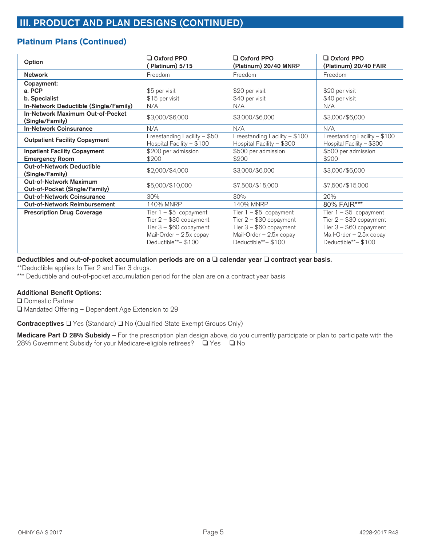## **Platinum Plans (Continued)**

| Option                                                         | Oxford PPO<br>Platinum) 5/15                                                                                                     | $\Box$ Oxford PPO<br>(Platinum) 20/40 MNRP                                                                                       | Oxford PPO<br>(Platinum) 20/40 FAIR                                                                                              |
|----------------------------------------------------------------|----------------------------------------------------------------------------------------------------------------------------------|----------------------------------------------------------------------------------------------------------------------------------|----------------------------------------------------------------------------------------------------------------------------------|
| <b>Network</b>                                                 | Freedom                                                                                                                          | Freedom                                                                                                                          | Freedom                                                                                                                          |
| Copayment:                                                     |                                                                                                                                  |                                                                                                                                  |                                                                                                                                  |
| a. PCP                                                         | \$5 per visit                                                                                                                    | \$20 per visit                                                                                                                   | \$20 per visit                                                                                                                   |
| b. Specialist                                                  | \$15 per visit                                                                                                                   | \$40 per visit                                                                                                                   | \$40 per visit                                                                                                                   |
| In-Network Deductible (Single/Family)                          | N/A                                                                                                                              | N/A                                                                                                                              | N/A                                                                                                                              |
| In-Network Maximum Out-of-Pocket<br>(Single/Family)            | \$3,000/\$6,000                                                                                                                  | \$3,000/\$6,000                                                                                                                  | \$3,000/\$6,000                                                                                                                  |
| <b>In-Network Coinsurance</b>                                  | N/A                                                                                                                              | N/A                                                                                                                              | N/A                                                                                                                              |
| <b>Outpatient Facility Copayment</b>                           | Freestanding Facility - \$50<br>Hospital Facility - \$100                                                                        | Freestanding Facility - \$100<br>Hospital Facility - \$300                                                                       | Freestanding Facility - \$100<br>Hospital Facility - \$300                                                                       |
| <b>Inpatient Facility Copayment</b>                            | \$200 per admission                                                                                                              | \$500 per admission                                                                                                              | \$500 per admission                                                                                                              |
| <b>Emergency Room</b>                                          | \$200                                                                                                                            | \$200                                                                                                                            | \$200                                                                                                                            |
| <b>Out-of-Network Deductible</b><br>(Single/Family)            | \$2,000/\$4,000                                                                                                                  | \$3,000/\$6,000                                                                                                                  | \$3,000/\$6,000                                                                                                                  |
| <b>Out-of-Network Maximum</b><br>Out-of-Pocket (Single/Family) | \$5,000/\$10,000                                                                                                                 | \$7,500/\$15,000                                                                                                                 | \$7,500/\$15,000                                                                                                                 |
| <b>Out-of-Network Coinsurance</b>                              | 30%                                                                                                                              | 30%                                                                                                                              | 20%                                                                                                                              |
| <b>Out-of-Network Reimbursement</b>                            | 140% MNRP                                                                                                                        | 140% MNRP                                                                                                                        | 80% FAIR***                                                                                                                      |
| <b>Prescription Drug Coverage</b>                              | Tier $1 - $5$ copayment<br>Tier $2 - $30$ copayment<br>Tier $3 - $60$ copayment<br>Mail-Order - 2.5x copay<br>Deductible**-\$100 | Tier $1 - $5$ copayment<br>Tier $2 - $30$ copayment<br>Tier $3 - $60$ copayment<br>Mail-Order - 2.5x copay<br>Deductible**-\$100 | Tier $1 - $5$ copayment<br>Tier $2 - $30$ copayment<br>Tier $3 - $60$ copayment<br>Mail-Order - 2.5x copay<br>Deductible**-\$100 |

#### Deductibles and out-of-pocket accumulation periods are on a  $\Box$  calendar year  $\Box$  contract year basis.

\*\*Deductible applies to Tier 2 and Tier 3 drugs.

\*\*\* Deductible and out-of-pocket accumulation period for the plan are on a contract year basis

### **Additional Benefit Options:**

□ Domestic Partner

□ Mandated Offering – Dependent Age Extension to 29

Contraceptives □ Yes (Standard) □ No (Qualified State Exempt Groups Only)

**Medicare Part D 28% Subsidy** – For the prescription plan design above, do you currently participate or plan to participate with the 28% Government Subsidy for your Medicare-eligible retirees? □ Yes □ No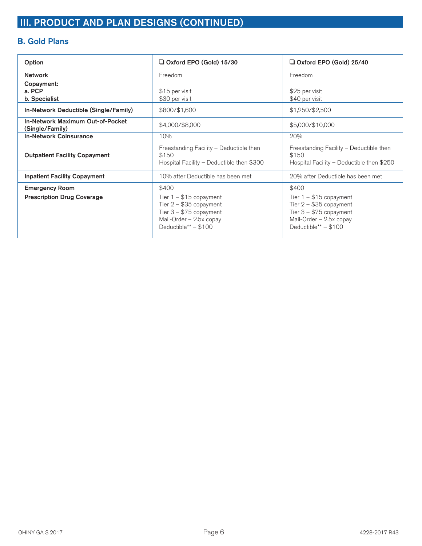## **B. Gold Plans**

| Option                                              | $\Box$ Oxford EPO (Gold) 15/30                                                                                                        | Oxford EPO (Gold) 25/40                                                                                                               |
|-----------------------------------------------------|---------------------------------------------------------------------------------------------------------------------------------------|---------------------------------------------------------------------------------------------------------------------------------------|
| <b>Network</b>                                      | Freedom                                                                                                                               | Freedom                                                                                                                               |
| Copayment:<br>a. PCP<br>b. Specialist               | \$15 per visit<br>\$30 per visit                                                                                                      | \$25 per visit<br>\$40 per visit                                                                                                      |
| In-Network Deductible (Single/Family)               | \$800/\$1,600                                                                                                                         | \$1,250/\$2,500                                                                                                                       |
| In-Network Maximum Out-of-Pocket<br>(Single/Family) | \$4,000/\$8,000                                                                                                                       | \$5,000/\$10,000                                                                                                                      |
| <b>In-Network Coinsurance</b>                       | 10%                                                                                                                                   | 20%                                                                                                                                   |
| <b>Outpatient Facility Copayment</b>                | Freestanding Facility - Deductible then<br>\$150<br>Hospital Facility - Deductible then \$300                                         | Freestanding Facility - Deductible then<br>\$150<br>Hospital Facility - Deductible then \$250                                         |
| <b>Inpatient Facility Copayment</b>                 | 10% after Deductible has been met                                                                                                     | 20% after Deductible has been met                                                                                                     |
| <b>Emergency Room</b>                               | \$400                                                                                                                                 | \$400                                                                                                                                 |
| <b>Prescription Drug Coverage</b>                   | Tier $1 - $15$ copayment<br>Tier $2 - $35$ copayment<br>Tier $3 - $75$ copayment<br>Mail-Order - 2.5x copay<br>Deductible** $-$ \$100 | Tier $1 - $15$ copayment<br>Tier $2 - $35$ copayment<br>Tier $3 - $75$ copayment<br>Mail-Order - 2.5x copay<br>Deductible** $-$ \$100 |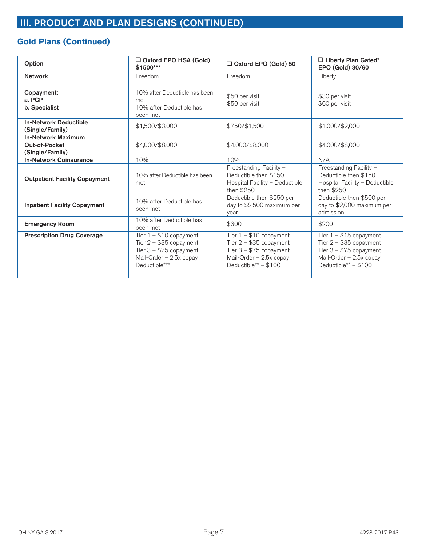## **Gold Plans (Continued)**

| Option                                                        | Oxford EPO HSA (Gold)<br>\$1500***                                                                                           | $\Box$ Oxford EPO (Gold) 50                                                                                                           | Liberty Plan Gated*<br>EPO (Gold) 30/60                                                                                             |
|---------------------------------------------------------------|------------------------------------------------------------------------------------------------------------------------------|---------------------------------------------------------------------------------------------------------------------------------------|-------------------------------------------------------------------------------------------------------------------------------------|
| <b>Network</b>                                                | Freedom                                                                                                                      | Freedom                                                                                                                               | Liberty                                                                                                                             |
| Copayment:<br>a. PCP<br>b. Specialist                         | 10% after Deductible has been<br>met<br>10% after Deductible has<br>been met                                                 | \$50 per visit<br>\$50 per visit                                                                                                      | \$30 per visit<br>\$60 per visit                                                                                                    |
| <b>In-Network Deductible</b><br>(Single/Family)               | \$1,500/\$3,000                                                                                                              | \$750/\$1,500                                                                                                                         | \$1,000/\$2,000                                                                                                                     |
| <b>In-Network Maximum</b><br>Out-of-Pocket<br>(Single/Family) | \$4,000/\$8,000                                                                                                              | \$4,000/\$8,000                                                                                                                       | \$4,000/\$8,000                                                                                                                     |
| <b>In-Network Coinsurance</b>                                 | 10%                                                                                                                          | 10%                                                                                                                                   | N/A                                                                                                                                 |
| <b>Outpatient Facility Copayment</b>                          | 10% after Deductible has been<br>met                                                                                         | Freestanding Facility -<br>Deductible then \$150<br>Hospital Facility - Deductible<br>then \$250                                      | Freestanding Facility -<br>Deductible then \$150<br>Hospital Facility - Deductible<br>then \$250                                    |
| <b>Inpatient Facility Copayment</b>                           | 10% after Deductible has<br>been met                                                                                         | Deductible then \$250 per<br>day to \$2,500 maximum per<br>vear                                                                       | Deductible then \$500 per<br>day to \$2,000 maximum per<br>admission                                                                |
| <b>Emergency Room</b>                                         | 10% after Deductible has<br>been met                                                                                         | \$300                                                                                                                                 | \$200                                                                                                                               |
| <b>Prescription Drug Coverage</b>                             | Tier $1 - $10$ copayment<br>Tier $2 - $35$ copayment<br>Tier $3 - $75$ copayment<br>Mail-Order - 2.5x copay<br>Deductible*** | Tier $1 - $10$ copayment<br>Tier $2 - $35$ copayment<br>Tier $3 - $75$ copayment<br>Mail-Order - 2.5x copay<br>Deductible** $-$ \$100 | Tier $1 - $15$ copayment<br>Tier $2 - $35$ copayment<br>Tier $3 - $75$ copayment<br>Mail-Order - 2.5x copay<br>Deductible** - \$100 |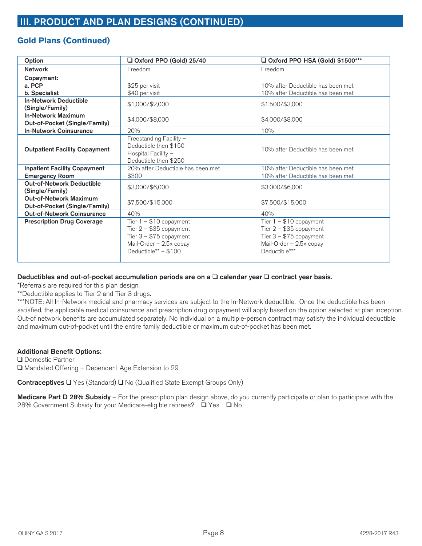### **Gold Plans (Continued)**

| Option                                                         | Oxford PPO (Gold) 25/40                                                                                                             | Q Oxford PPO HSA (Gold) \$1500***                                                                                            |  |  |
|----------------------------------------------------------------|-------------------------------------------------------------------------------------------------------------------------------------|------------------------------------------------------------------------------------------------------------------------------|--|--|
| <b>Network</b>                                                 | Freedom                                                                                                                             | Freedom                                                                                                                      |  |  |
| Copayment:                                                     |                                                                                                                                     |                                                                                                                              |  |  |
| a. PCP                                                         | \$25 per visit                                                                                                                      | 10% after Deductible has been met                                                                                            |  |  |
| b. Specialist                                                  | \$40 per visit                                                                                                                      | 10% after Deductible has been met                                                                                            |  |  |
| <b>In-Network Deductible</b><br>(Single/Family)                | \$1,000/\$2,000                                                                                                                     | \$1,500/\$3,000                                                                                                              |  |  |
| <b>In-Network Maximum</b><br>Out-of-Pocket (Single/Family)     | \$4,000/\$8,000                                                                                                                     | \$4,000/\$8,000                                                                                                              |  |  |
| <b>In-Network Coinsurance</b>                                  | 20%                                                                                                                                 | 10%                                                                                                                          |  |  |
| <b>Outpatient Facility Copayment</b>                           | Freestanding Facility -<br>Deductible then \$150<br>Hospital Facility -<br>Deductible then \$250                                    | 10% after Deductible has been met                                                                                            |  |  |
| <b>Inpatient Facility Copayment</b>                            | 20% after Deductible has been met                                                                                                   | 10% after Deductible has been met                                                                                            |  |  |
| <b>Emergency Room</b>                                          | \$300                                                                                                                               | 10% after Deductible has been met                                                                                            |  |  |
| <b>Out-of-Network Deductible</b><br>(Single/Family)            | \$3,000/\$6,000                                                                                                                     | \$3,000/\$6,000                                                                                                              |  |  |
| <b>Out-of-Network Maximum</b><br>Out-of-Pocket (Single/Family) | \$7,500/\$15,000                                                                                                                    | \$7,500/\$15,000                                                                                                             |  |  |
| <b>Out-of-Network Coinsurance</b>                              | 40%                                                                                                                                 | 40%                                                                                                                          |  |  |
| <b>Prescription Drug Coverage</b>                              | Tier $1 - $10$ copayment<br>Tier $2 - $35$ copayment<br>Tier $3 - $75$ copayment<br>Mail-Order - 2.5x copay<br>Deductible** - \$100 | Tier $1 - $10$ copayment<br>Tier $2 - $35$ copayment<br>Tier $3 - $75$ copayment<br>Mail-Order - 2.5x copay<br>Deductible*** |  |  |

#### Deductibles and out-of-pocket accumulation periods are on a  $\Box$  calendar year  $\Box$  contract year basis.

\*Referrals are required for this plan design.

\*\*Deductible applies to Tier 2 and Tier 3 drugs.

\*\*\*NOTE: All In-Network medical and pharmacy services are subject to the In-Network deductible. Once the deductible has been satisfied, the applicable medical coinsurance and prescription drug copayment will apply based on the option selected at plan inception. Out-of network benefits are accumulated separately. No individual on a multiple-person contract may satisfy the individual deductible and maximum out-of-pocket until the entire family deductible or maximum out-of-pocket has been met.

#### **Additional Benefit Options:**

□ Domestic Partner  $\Box$  Mandated Offering – Dependent Age Extension to 29

Contraceptives □ Yes (Standard) □ No (Qualified State Exempt Groups Only)

**Medicare Part D 28% Subsidy** – For the prescription plan design above, do you currently participate or plan to participate with the 28% Government Subsidy for your Medicare-eligible retirees? □ Yes □ No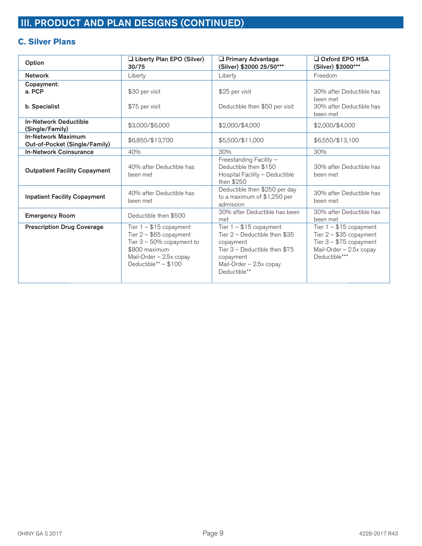### **C. Silver Plans**

| Option                                                     | Liberty Plan EPO (Silver)<br>30/75                                                                                                                       | $\Box$ Primary Advantage<br>(Silver) \$2000 25/50***                                                                                                            | $\Box$ Oxford EPO HSA<br>(Silver) \$2000***                                                                                  |
|------------------------------------------------------------|----------------------------------------------------------------------------------------------------------------------------------------------------------|-----------------------------------------------------------------------------------------------------------------------------------------------------------------|------------------------------------------------------------------------------------------------------------------------------|
| <b>Network</b>                                             | Liberty                                                                                                                                                  | Liberty                                                                                                                                                         | Freedom                                                                                                                      |
| Copayment:<br>a. PCP<br>b. Specialist                      | \$30 per visit<br>\$75 per visit                                                                                                                         | \$25 per visit<br>Deductible then \$50 per visit                                                                                                                | 30% after Deductible has<br>been met<br>30% after Deductible has<br>been met                                                 |
| <b>In-Network Deductible</b><br>(Single/Family)            | \$3,000/\$6,000                                                                                                                                          | \$2,000/\$4,000                                                                                                                                                 | \$2,000/\$4,000                                                                                                              |
| <b>In-Network Maximum</b><br>Out-of-Pocket (Single/Family) | \$6,850/\$13,700                                                                                                                                         | \$5,500/\$11,000                                                                                                                                                | \$6,550/\$13,100                                                                                                             |
| <b>In-Network Coinsurance</b>                              | 40%                                                                                                                                                      | 30%                                                                                                                                                             | 30%                                                                                                                          |
| <b>Outpatient Facility Copayment</b>                       | 40% after Deductible has<br>been met                                                                                                                     | Freestanding Facility -<br>Deductible then \$150<br>Hospital Facility - Deductible<br>then \$250                                                                | 30% after Deductible has<br>been met                                                                                         |
| <b>Inpatient Facility Copayment</b>                        | 40% after Deductible has<br>been met                                                                                                                     | Deductible then \$250 per day<br>to a maximum of \$1,250 per<br>admission                                                                                       | 30% after Deductible has<br>been met                                                                                         |
| <b>Emergency Room</b>                                      | Deductible then \$500                                                                                                                                    | 30% after Deductible has been<br>met                                                                                                                            | 30% after Deductible has<br>been met                                                                                         |
| <b>Prescription Drug Coverage</b>                          | Tier $1 - $15$ copayment<br>Tier $2 - $65$ copayment<br>Tier $3 - 50\%$ copayment to<br>\$800 maximum<br>Mail-Order - 2.5x copay<br>Deductible** - \$100 | Tier $1 - $15$ copayment<br>Tier 2 - Deductible then \$35<br>copayment<br>Tier 3 - Deductible then \$75<br>copayment<br>Mail-Order - 2.5x copay<br>Deductible** | Tier $1 - $15$ copayment<br>Tier $2 - $35$ copayment<br>Tier $3 - $75$ copayment<br>Mail-Order - 2.5x copay<br>Deductible*** |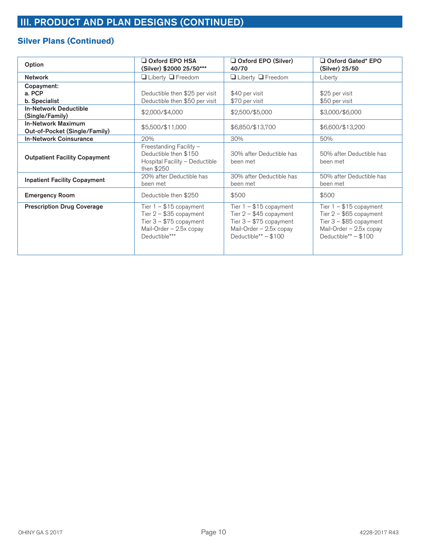# **Silver Plans (Continued)**

| Option                                                     | $\square$ Oxford EPO HSA<br>(Silver) \$2000 25/50***                                                                         | Oxford EPO (Silver)<br>40/70                                                                                                         | Oxford Gated* EPO<br>(Silver) 25/50                                                                                                  |
|------------------------------------------------------------|------------------------------------------------------------------------------------------------------------------------------|--------------------------------------------------------------------------------------------------------------------------------------|--------------------------------------------------------------------------------------------------------------------------------------|
| <b>Network</b>                                             | $\Box$ Liberty $\Box$ Freedom                                                                                                | $\Box$ Liberty $\Box$ Freedom                                                                                                        | Liberty                                                                                                                              |
| Copayment:<br>a. PCP<br>b. Specialist                      | Deductible then \$25 per visit<br>Deductible then \$50 per visit                                                             | \$40 per visit<br>\$70 per visit                                                                                                     | \$25 per visit<br>\$50 per visit                                                                                                     |
| <b>In-Network Deductible</b><br>(Single/Family)            | \$2,000/\$4,000                                                                                                              | \$2,500/\$5,000                                                                                                                      | \$3,000/\$6,000                                                                                                                      |
| <b>In-Network Maximum</b><br>Out-of-Pocket (Single/Family) | \$5,500/\$11,000                                                                                                             | \$6,850/\$13,700                                                                                                                     | \$6,600/\$13,200                                                                                                                     |
| <b>In-Network Coinsurance</b>                              | 20%                                                                                                                          | 30%                                                                                                                                  | 50%                                                                                                                                  |
| <b>Outpatient Facility Copayment</b>                       | Freestanding Facility -<br>Deductible then \$150<br>Hospital Facility - Deductible<br>then $$250$                            | 30% after Deductible has<br>been met                                                                                                 | 50% after Deductible has<br>been met                                                                                                 |
| <b>Inpatient Facility Copayment</b>                        | 20% after Deductible has<br>been met                                                                                         | 30% after Deductible has<br>been met                                                                                                 | 50% after Deductible has<br>been met                                                                                                 |
| <b>Emergency Room</b>                                      | Deductible then \$250                                                                                                        | \$500                                                                                                                                | \$500                                                                                                                                |
| <b>Prescription Drug Coverage</b>                          | Tier $1 - $15$ copayment<br>Tier $2 - $35$ copayment<br>Tier $3 - $75$ copayment<br>Mail-Order - 2.5x copay<br>Deductible*** | Tier $1 - $15$ copayment<br>Tier $2 - $45$ copayment<br>Tier $3 - $75$ copayment<br>Mail-Order - 2.5x copay<br>Deductible** $- $100$ | Tier $1 - $15$ copayment<br>Tier $2 - $65$ copayment<br>Tier $3 - $85$ copayment<br>Mail-Order - 2.5x copay<br>Deductible** $- $100$ |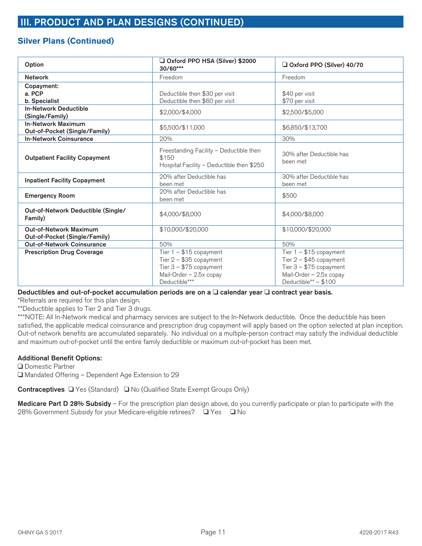### **Silver Plans (Continued)**

| Option                                                     | Oxford PPO HSA (Silver) \$2000<br>30/60***                                                                                   | Oxford PPO (Silver) 40/70                                                                                                           |  |
|------------------------------------------------------------|------------------------------------------------------------------------------------------------------------------------------|-------------------------------------------------------------------------------------------------------------------------------------|--|
| <b>Network</b>                                             | Freedom                                                                                                                      | Freedom                                                                                                                             |  |
| Copayment:<br>a. PCP<br>b. Specialist                      | Deductible then \$30 per visit<br>Deductible then \$60 per visit                                                             | \$40 per visit<br>\$70 per visit                                                                                                    |  |
| <b>In-Network Deductible</b><br>(Single/Family)            | \$2,000/\$4,000                                                                                                              | \$2,500/\$5,000                                                                                                                     |  |
| <b>In-Network Maximum</b><br>Out-of-Pocket (Single/Family) | \$5,500/\$11,000                                                                                                             | \$6,850/\$13,700                                                                                                                    |  |
| <b>In-Network Coinsurance</b>                              | 20%                                                                                                                          | 30%                                                                                                                                 |  |
| <b>Outpatient Facility Copayment</b>                       | Freestanding Facility - Deductible then<br>\$150<br>Hospital Facility - Deductible then \$250                                | 30% after Deductible has<br>been met                                                                                                |  |
| <b>Inpatient Facility Copayment</b>                        | 20% after Deductible has<br>been met                                                                                         | 30% after Deductible has<br>been met                                                                                                |  |
| <b>Emergency Room</b>                                      | 20% after Deductible has<br>been met                                                                                         | \$500                                                                                                                               |  |
| Out-of-Network Deductible (Single/<br>Family)              | \$4,000/\$8,000                                                                                                              | \$4,000/\$8,000                                                                                                                     |  |
| Out-of-Network Maximum<br>Out-of-Pocket (Single/Family)    | \$10,000/\$20,000                                                                                                            | \$10,000/\$20,000                                                                                                                   |  |
| <b>Out-of-Network Coinsurance</b>                          | 50%                                                                                                                          | 50%                                                                                                                                 |  |
| <b>Prescription Drug Coverage</b>                          | Tier $1 - $15$ copayment<br>Tier $2 - $35$ copayment<br>Tier $3 - $75$ copayment<br>Mail-Order - 2.5x copay<br>Deductible*** | Tier $1 - $15$ copayment<br>Tier $2 - $45$ copayment<br>Tier $3 - $75$ copayment<br>Mail-Order - 2.5x copay<br>Deductible** - \$100 |  |

Deductibles and out-of-pocket accumulation periods are on a  $\Box$  calendar year  $\Box$  contract year basis.

\*Referrals are required for this plan design.

\*\*Deductible applies to Tier 2 and Tier 3 drugs.

\*\*\*NOTE: All In-Network medical and pharmacy services are subject to the In-Network deductible. Once the deductible has been satisfied, the applicable medical coinsurance and prescription drug copayment will apply based on the option selected at plan inception. Out-of network benefits are accumulated separately. No individual on a multiple-person contract may satisfy the individual deductible and maximum out-of-pocket until the entire family deductible or maximum out-of-pocket has been met.

### **Additional Benefit Options:**

□ Domestic Partner □ Mandated Offering – Dependent Age Extension to 29

Contraceptives □ Yes (Standard) □ No (Qualified State Exempt Groups Only)

**Medicare Part D 28% Subsidy** – For the prescription plan design above, do you currently participate or plan to participate with the 28% Government Subsidy for your Medicare-eligible retirees? □ Yes □ No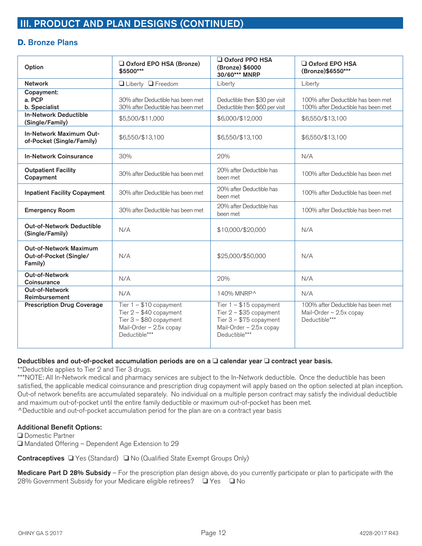### **D. Bronze Plans**

| Option                                                             | Oxford EPO HSA (Bronze)<br>\$5500***                                                                                         | Oxford PPO HSA<br>(Bronze) \$6000<br>30/60*** MNRP                                                                           | $\Box$ Oxford EPO HSA<br>(Bronze)\$6550***                                     |
|--------------------------------------------------------------------|------------------------------------------------------------------------------------------------------------------------------|------------------------------------------------------------------------------------------------------------------------------|--------------------------------------------------------------------------------|
| <b>Network</b>                                                     | □ Liberty □ Freedom                                                                                                          | Liberty                                                                                                                      | Liberty                                                                        |
| Copayment:<br>a. PCP<br>b. Specialist                              | 30% after Deductible has been met<br>30% after Deductible has been met                                                       | Deductible then \$30 per visit<br>Deductible then \$60 per visit                                                             | 100% after Deductible has been met<br>100% after Deductible has been met       |
| <b>In-Network Deductible</b><br>(Single/Family)                    | \$5,500/\$11,000                                                                                                             | \$6,000/\$12,000                                                                                                             | \$6,550/\$13,100                                                               |
| In-Network Maximum Out-<br>of-Pocket (Single/Family)               | \$6,550/\$13,100                                                                                                             | \$6,550/\$13,100                                                                                                             | \$6,550/\$13,100                                                               |
| <b>In-Network Coinsurance</b>                                      | 30%                                                                                                                          | 20%                                                                                                                          | N/A                                                                            |
| <b>Outpatient Facility</b><br>Copayment                            | 30% after Deductible has been met                                                                                            | 20% after Deductible has<br>been met                                                                                         | 100% after Deductible has been met                                             |
| <b>Inpatient Facility Copayment</b>                                | 30% after Deductible has been met                                                                                            | 20% after Deductible has<br>been met                                                                                         | 100% after Deductible has been met                                             |
| <b>Emergency Room</b>                                              | 30% after Deductible has been met                                                                                            | 20% after Deductible has<br>been met                                                                                         | 100% after Deductible has been met                                             |
| <b>Out-of-Network Deductible</b><br>(Single/Family)                | N/A                                                                                                                          | \$10,000/\$20,000                                                                                                            | N/A                                                                            |
| <b>Out-of-Network Maximum</b><br>Out-of-Pocket (Single/<br>Family) | N/A                                                                                                                          | \$25,000/\$50,000                                                                                                            | N/A                                                                            |
| Out-of-Network<br>Coinsurance                                      | N/A                                                                                                                          | 20%                                                                                                                          | N/A                                                                            |
| Out-of-Network<br>Reimbursement                                    | N/A                                                                                                                          | 140% MNRP^                                                                                                                   | N/A                                                                            |
| <b>Prescription Drug Coverage</b>                                  | Tier $1 - $10$ copayment<br>Tier $2 - $40$ copayment<br>Tier $3 - $80$ copayment<br>Mail-Order - 2.5x copay<br>Deductible*** | Tier $1 - $15$ copayment<br>Tier $2 - $35$ copayment<br>Tier $3 - $75$ copayment<br>Mail-Order - 2.5x copay<br>Deductible*** | 100% after Deductible has been met<br>Mail-Order - 2.5x copay<br>Deductible*** |

#### Deductibles and out-of-pocket accumulation periods are on a  $\Box$  calendar year  $\Box$  contract year basis.

\*\*Deductible applies to Tier 2 and Tier 3 drugs.

\*\*\*NOTE: All In-Network medical and pharmacy services are subject to the In-Network deductible. Once the deductible has been satisfied, the applicable medical coinsurance and prescription drug copayment will apply based on the option selected at plan inception. Out-of network benefits are accumulated separately. No individual on a multiple person contract may satisfy the individual deductible and maximum out-of-pocket until the entire family deductible or maximum out-of-pocket has been met. ^Deductible and out-of-pocket accumulation period for the plan are on a contract year basis

#### **Additional Benefit Options:**

**□** Domestic Partner □ Mandated Offering – Dependent Age Extension to 29

Contraceptives □ Yes (Standard) □ No (Qualified State Exempt Groups Only)

**Medicare Part D 28% Subsidy** – For the prescription plan design above, do you currently participate or plan to participate with the 28% Government Subsidy for your Medicare eligible retirees? □ Yes □ No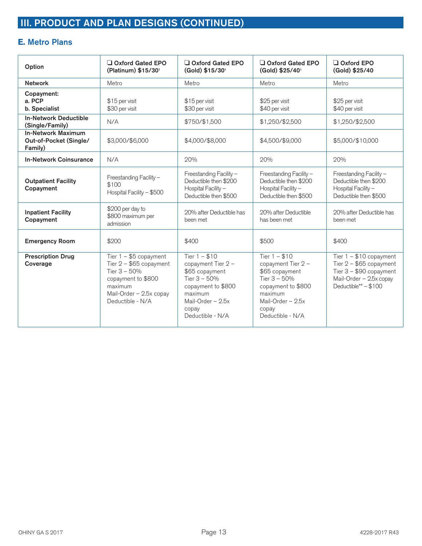## **E. Metro Plans**

| Option                                                         | Oxford Gated EPO<br>(Platinum) \$15/301                                                                                                               | Oxford Gated EPO<br>(Gold) \$15/301                                                                                                                          | Oxford Gated EPO<br>(Gold) \$25/401                                                                                                                        | $\Box$ Oxford EPO<br>(Gold) \$25/40                                                                                                 |
|----------------------------------------------------------------|-------------------------------------------------------------------------------------------------------------------------------------------------------|--------------------------------------------------------------------------------------------------------------------------------------------------------------|------------------------------------------------------------------------------------------------------------------------------------------------------------|-------------------------------------------------------------------------------------------------------------------------------------|
| <b>Network</b>                                                 | Metro                                                                                                                                                 | Metro                                                                                                                                                        | Metro                                                                                                                                                      | Metro                                                                                                                               |
| Copayment:<br>a. PCP<br>b. Specialist                          | \$15 per visit<br>\$30 per visit                                                                                                                      | \$15 per visit<br>\$30 per visit                                                                                                                             | \$25 per visit<br>\$40 per visit                                                                                                                           | \$25 per visit<br>\$40 per visit                                                                                                    |
| <b>In-Network Deductible</b><br>(Single/Family)                | N/A                                                                                                                                                   | \$750/\$1,500                                                                                                                                                | \$1,250/\$2,500                                                                                                                                            | \$1,250/\$2,500                                                                                                                     |
| <b>In-Network Maximum</b><br>Out-of-Pocket (Single/<br>Family) | \$3,000/\$6,000                                                                                                                                       | \$4,000/\$8,000                                                                                                                                              | \$4,500/\$9,000                                                                                                                                            | \$5,000/\$10,000                                                                                                                    |
| <b>In-Network Coinsurance</b>                                  | N/A                                                                                                                                                   | 20%                                                                                                                                                          | 20%                                                                                                                                                        | 20%                                                                                                                                 |
| <b>Outpatient Facility</b><br>Copayment                        | Freestanding Facility -<br>\$100<br>Hospital Facility - \$500                                                                                         | Freestanding Facility -<br>Deductible then \$200<br>Hospital Facility -<br>Deductible then \$500                                                             | Freestanding Facility -<br>Deductible then \$200<br>Hospital Facility -<br>Deductible then \$500                                                           | Freestanding Facility -<br>Deductible then \$200<br>Hospital Facility -<br>Deductible then \$500                                    |
| <b>Inpatient Facility</b><br>Copayment                         | \$200 per day to<br>\$800 maximum per<br>admission                                                                                                    | 20% after Deductible has<br>been met                                                                                                                         | 20% after Deductible<br>has been met                                                                                                                       | 20% after Deductible has<br>been met                                                                                                |
| <b>Emergency Room</b>                                          | \$200                                                                                                                                                 | \$400                                                                                                                                                        | \$500                                                                                                                                                      | \$400                                                                                                                               |
| <b>Prescription Drug</b><br>Coverage                           | Tier $1 - $5$ copayment<br>Tier $2 - $65$ copayment<br>Tier $3 - 50%$<br>copayment to \$800<br>maximum<br>Mail-Order - 2.5x copay<br>Deductible - N/A | Tier $1 - $10$<br>copayment Tier 2 -<br>\$65 copayment<br>Tier $3 - 50%$<br>copayment to \$800<br>maximum<br>Mail-Order $-2.5x$<br>copay<br>Deductible - N/A | Tier $1 - $10$<br>copayment Tier 2 -<br>\$65 copayment<br>Tier 3 - 50%<br>copayment to \$800<br>maximum<br>Mail-Order $-2.5x$<br>copay<br>Deductible - N/A | Tier $1 - $10$ copayment<br>Tier $2 - $65$ copayment<br>Tier $3 - $90$ copayment<br>Mail-Order - 2.5x copay<br>Deductible** - \$100 |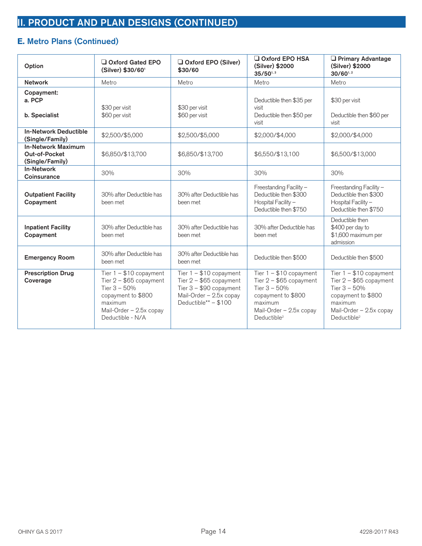## **E. Metro Plans (Continued)**

| Option                                                        | Oxford Gated EPO<br>(Silver) \$30/601                                                                                                                  | Oxford EPO (Silver)<br>\$30/60                                                                                                      | $\Box$ Oxford EPO HSA<br>(Silver) \$2000<br>$35/50^{1,3}$                                                                                                     | <b>D</b> Primary Advantage<br>(Silver) \$2000<br>30/601,2                                                                                                     |
|---------------------------------------------------------------|--------------------------------------------------------------------------------------------------------------------------------------------------------|-------------------------------------------------------------------------------------------------------------------------------------|---------------------------------------------------------------------------------------------------------------------------------------------------------------|---------------------------------------------------------------------------------------------------------------------------------------------------------------|
| <b>Network</b>                                                | Metro                                                                                                                                                  | Metro                                                                                                                               | Metro                                                                                                                                                         | Metro                                                                                                                                                         |
| Copayment:<br>a. PCP<br>b. Specialist                         | \$30 per visit<br>\$60 per visit                                                                                                                       | \$30 per visit<br>\$60 per visit                                                                                                    | Deductible then \$35 per<br>visit<br>Deductible then \$50 per<br>visit                                                                                        | \$30 per visit<br>Deductible then \$60 per<br>visit                                                                                                           |
| <b>In-Network Deductible</b><br>(Single/Family)               | \$2,500/\$5,000                                                                                                                                        | \$2,500/\$5,000                                                                                                                     | \$2,000/\$4,000                                                                                                                                               | \$2,000/\$4,000                                                                                                                                               |
| <b>In-Network Maximum</b><br>Out-of-Pocket<br>(Single/Family) | \$6,850/\$13,700                                                                                                                                       | \$6,850/\$13,700                                                                                                                    | \$6,550/\$13,100                                                                                                                                              | \$6,500/\$13,000                                                                                                                                              |
| <b>In-Network</b><br>Coinsurance                              | 30%                                                                                                                                                    | 30%                                                                                                                                 | 30%                                                                                                                                                           | 30%                                                                                                                                                           |
| <b>Outpatient Facility</b><br>Copayment                       | 30% after Deductible has<br>been met                                                                                                                   | 30% after Deductible has<br>been met                                                                                                | Freestanding Facility -<br>Deductible then \$300<br>Hospital Facility -<br>Deductible then \$750                                                              | Freestanding Facility -<br>Deductible then \$300<br>Hospital Facility -<br>Deductible then \$750                                                              |
| <b>Inpatient Facility</b><br>Copayment                        | 30% after Deductible has<br>been met                                                                                                                   | 30% after Deductible has<br>been met                                                                                                | 30% after Deductible has<br>been met                                                                                                                          | Deductible then<br>\$400 per day to<br>\$1,600 maximum per<br>admission                                                                                       |
| <b>Emergency Room</b>                                         | 30% after Deductible has<br>been met                                                                                                                   | 30% after Deductible has<br>been met                                                                                                | Deductible then \$500                                                                                                                                         | Deductible then \$500                                                                                                                                         |
| <b>Prescription Drug</b><br>Coverage                          | Tier $1 - $10$ copayment<br>Tier $2 - $65$ copayment<br>Tier $3 - 50%$<br>copayment to \$800<br>maximum<br>Mail-Order - 2.5x copay<br>Deductible - N/A | Tier $1 - $10$ copayment<br>Tier $2 - $65$ copayment<br>Tier $3 - $90$ copayment<br>Mail-Order - 2.5x copay<br>Deductible** - \$100 | Tier $1 - $10$ copayment<br>Tier $2 - $65$ copayment<br>Tier $3 - 50%$<br>copayment to \$800<br>maximum<br>Mail-Order - 2.5x copay<br>Deductible <sup>2</sup> | Tier $1 - $10$ copayment<br>Tier $2 - $65$ copayment<br>Tier $3 - 50%$<br>copayment to \$800<br>maximum<br>Mail-Order - 2.5x copay<br>Deductible <sup>2</sup> |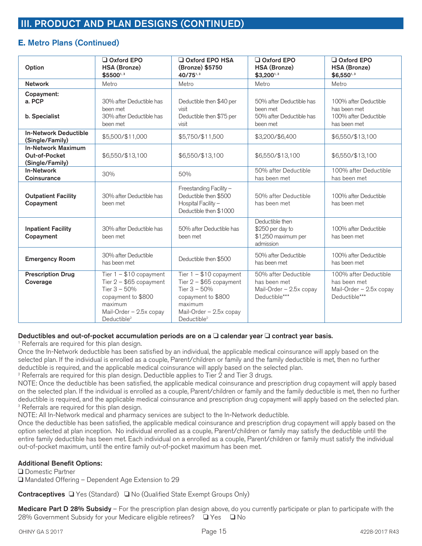### **E. Metro Plans (Continued)**

| Option                                                        | Oxford EPO<br><b>HSA (Bronze)</b><br>\$55001,3                                                                                                                | $\Box$ Oxford EPO HSA<br>(Bronze) \$5750<br>40/751,3                                                                                                          | $\Box$ Oxford EPO<br><b>HSA (Bronze)</b><br>\$3,200 <sup>1,3</sup>               | Oxford EPO<br><b>HSA (Bronze)</b><br>\$6,550 <sup>1,3</sup>                       |
|---------------------------------------------------------------|---------------------------------------------------------------------------------------------------------------------------------------------------------------|---------------------------------------------------------------------------------------------------------------------------------------------------------------|----------------------------------------------------------------------------------|-----------------------------------------------------------------------------------|
| <b>Network</b>                                                | Metro                                                                                                                                                         | Metro                                                                                                                                                         | Metro                                                                            | Metro                                                                             |
| Copayment:<br>a. PCP<br>b. Specialist                         | 30% after Deductible has<br>been met<br>30% after Deductible has<br>been met                                                                                  | Deductible then \$40 per<br>visit<br>Deductible then \$75 per<br>visit                                                                                        | 50% after Deductible has<br>been met<br>50% after Deductible has<br>been met     | 100% after Deductible<br>has been met<br>100% after Deductible<br>has been met    |
| <b>In-Network Deductible</b><br>(Single/Family)               | \$5,500/\$11,000                                                                                                                                              | \$5,750/\$11,500                                                                                                                                              | \$3,200/\$6,400                                                                  | \$6,550/\$13,100                                                                  |
| <b>In-Network Maximum</b><br>Out-of-Pocket<br>(Single/Family) | \$6,550/\$13,100                                                                                                                                              | \$6,550/\$13,100                                                                                                                                              | \$6,550/\$13,100                                                                 | \$6,550/\$13,100                                                                  |
| <b>In-Network</b><br>Coinsurance                              | 30%                                                                                                                                                           | 50%                                                                                                                                                           | 50% after Deductible<br>has been met                                             | 100% after Deductible<br>has been met                                             |
| <b>Outpatient Facility</b><br>Copayment                       | 30% after Deductible has<br>been met                                                                                                                          | Freestanding Facility -<br>Deductible then \$500<br>Hospital Facility -<br>Deductible then \$1000                                                             | 50% after Deductible<br>has been met                                             | 100% after Deductible<br>has been met                                             |
| <b>Inpatient Facility</b><br>Copayment                        | 30% after Deductible has<br>been met                                                                                                                          | 50% after Deductible has<br>been met                                                                                                                          | Deductible then<br>\$250 per day to<br>\$1,250 maximum per<br>admission          | 100% after Deductible<br>has been met                                             |
| <b>Emergency Room</b>                                         | 30% after Deductible<br>has been met                                                                                                                          | Deductible then \$500                                                                                                                                         | 50% after Deductible<br>has been met                                             | 100% after Deductible<br>has been met                                             |
| <b>Prescription Drug</b><br>Coverage                          | Tier $1 - $10$ copayment<br>Tier $2 - $65$ copayment<br>Tier $3 - 50%$<br>copayment to \$800<br>maximum<br>Mail-Order - 2.5x copay<br>Deductible <sup>2</sup> | Tier $1 - $10$ copayment<br>Tier $2 - $65$ copayment<br>Tier $3 - 50%$<br>copayment to \$800<br>maximum<br>Mail-Order - 2.5x copay<br>Deductible <sup>2</sup> | 50% after Deductible<br>has been met<br>Mail-Order - 2.5x copay<br>Deductible*** | 100% after Deductible<br>has been met<br>Mail-Order - 2.5x copay<br>Deductible*** |

#### Deductibles and out-of-pocket accumulation periods are on a  $\Box$  calendar year  $\Box$  contract year basis.

<sup>1</sup> Referrals are required for this plan design.

Once the In-Network deductible has been satisfied by an individual, the applicable medical coinsurance will apply based on the selected plan. If the individual is enrolled as a couple, Parent/children or family and the family deductible is met, then no further deductible is required, and the applicable medical coinsurance will apply based on the selected plan.

2 Referrals are required for this plan design. Deductible applies to Tier 2 and Tier 3 drugs.

NOTE: Once the deductible has been satisfied, the applicable medical coinsurance and prescription drug copayment will apply based on the selected plan. If the individual is enrolled as a couple, Parent/children or family and the family deductible is met, then no further deductible is required, and the applicable medical coinsurance and prescription drug copayment will apply based on the selected plan. <sup>3</sup> Referrals are required for this plan design.

NOTE: All In-Network medical and pharmacy services are subject to the In-Network deductible.

Once the deductible has been satisfied, the applicable medical coinsurance and prescription drug copayment will apply based on the option selected at plan inception. No individual enrolled as a couple, Parent/children or family may satisfy the deductible until the entire family deductible has been met. Each individual on a enrolled as a couple, Parent/children or family must satisfy the individual out-of-pocket maximum, until the entire family out-of-pocket maximum has been met.

#### **Additional Benefit Options:**

**□** Domestic Partner  $\Box$  Mandated Offering – Dependent Age Extension to 29

Contraceptives □ Yes (Standard) □ No (Qualified State Exempt Groups Only)

**Medicare Part D 28% Subsidy** – For the prescription plan design above, do you currently participate or plan to participate with the 28% Government Subsidy for your Medicare eligible retirees?  $\Box$  Yes  $\Box$  No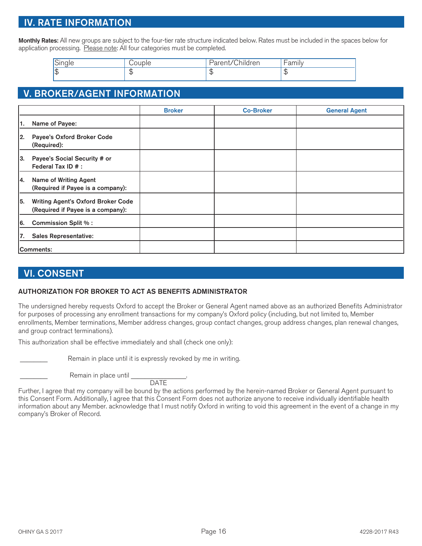## **IV. RATE INFORMATION**

**Monthly Rates:** All new groups are subject to the four-tier rate structure indicated below. Rates must be included in the spaces below for application processing. Please note: All four categories must be completed.

| $\sim$<br>. | $\cdots$ | $\sim$ $\sim$<br>$\cdots$<br>$\sim$<br>---<br>uren<br>$\sim$<br>. .<br>ີ | $\mathsf{L}\cap\mathsf{M}$<br>dilliiv |
|-------------|----------|--------------------------------------------------------------------------|---------------------------------------|
| ۱đ<br>. .   | u        | $\mathbf{u}$                                                             |                                       |

## **V. BROKER/AGENT INFORMATION**

|     |                                                                                | <b>Broker</b> | <b>Co-Broker</b> | <b>General Agent</b> |
|-----|--------------------------------------------------------------------------------|---------------|------------------|----------------------|
| 11. | Name of Payee:                                                                 |               |                  |                      |
| 12. | Payee's Oxford Broker Code<br>(Required):                                      |               |                  |                      |
| 13. | Payee's Social Security # or<br>Federal Tax ID # :                             |               |                  |                      |
| 14. | <b>Name of Writing Agent</b><br>(Required if Payee is a company):              |               |                  |                      |
| 15. | <b>Writing Agent's Oxford Broker Code</b><br>(Required if Payee is a company): |               |                  |                      |
| 6.  | <b>Commission Split %:</b>                                                     |               |                  |                      |
| 17. | <b>Sales Representative:</b>                                                   |               |                  |                      |
|     | Comments:                                                                      |               |                  |                      |

# **VI. CONSENT**

#### **AUTHORIZATION FOR BROKER TO ACT AS BENEFITS ADMINISTRATOR**

The undersigned hereby requests Oxford to accept the Broker or General Agent named above as an authorized Benefits Administrator for purposes of processing any enrollment transactions for my company's Oxford policy (including, but not limited to, Member enrollments, Member terminations, Member address changes, group contact changes, group address changes, plan renewal changes, and group contract terminations).

This authorization shall be effective immediately and shall (check one only):

Remain in place until it is expressly revoked by me in writing.

Remain in place until

**DATE** 

Further, I agree that my company will be bound by the actions performed by the herein-named Broker or General Agent pursuant to this Consent Form. Additionally, I agree that this Consent Form does not authorize anyone to receive individually identifiable health information about any Member. acknowledge that I must notify Oxford in writing to void this agreement in the event of a change in my company's Broker of Record.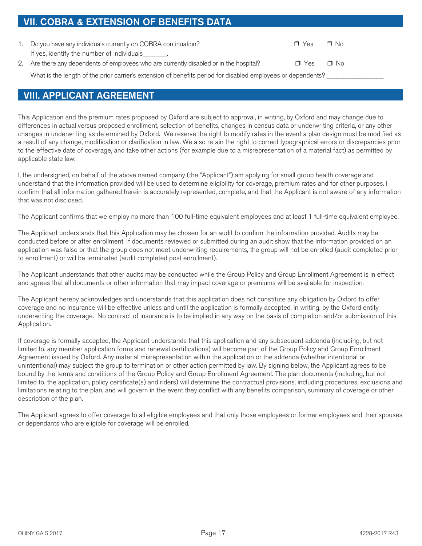| <b>VII. COBRA &amp; EXTENSION OF BENEFITS DATA</b>                                                           |            |           |
|--------------------------------------------------------------------------------------------------------------|------------|-----------|
|                                                                                                              |            |           |
| 1. Do you have any individuals currently on COBRA continuation?                                              | $\Box$ Yes | $\Box$ No |
| If yes, identify the number of individuals .                                                                 |            |           |
| 2. Are there any dependents of employees who are currently disabled or in the hospital?                      | $\Box$ Yes | ∩ No      |
| What is the length of the prior carrier's extension of benefits period for disabled employees or dependents? |            |           |
|                                                                                                              |            |           |

## **VIII. APPLICANT AGREEMENT**

This Application and the premium rates proposed by Oxford are subject to approval, in writing, by Oxford and may change due to differences in actual versus proposed enrollment, selection of benefits, changes in census data or underwriting criteria, or any other changes in underwriting as determined by Oxford. We reserve the right to modify rates in the event a plan design must be modified as a result of any change, modification or clarification in law. We also retain the right to correct typographical errors or discrepancies prior to the effective date of coverage, and take other actions (for example due to a misrepresentation of a material fact) as permitted by applicable state law.

I, the undersigned, on behalf of the above named company (the "Applicant") am applying for small group health coverage and understand that the information provided will be used to determine eligibility for coverage, premium rates and for other purposes. I confirm that all information gathered herein is accurately represented, complete, and that the Applicant is not aware of any information that was not disclosed.

The Applicant confirms that we employ no more than 100 full-time equivalent employees and at least 1 full-time equivalent employee.

The Applicant understands that this Application may be chosen for an audit to confirm the information provided. Audits may be conducted before or after enrollment. If documents reviewed or submitted during an audit show that the information provided on an application was false or that the group does not meet underwriting requirements, the group will not be enrolled (audit completed prior to enrollment) or will be terminated (audit completed post enrollment).

The Applicant understands that other audits may be conducted while the Group Policy and Group Enrollment Agreement is in effect and agrees that all documents or other information that may impact coverage or premiums will be available for inspection.

The Applicant hereby acknowledges and understands that this application does not constitute any obligation by Oxford to offer coverage and no insurance will be effective unless and until the application is formally accepted, in writing, by the Oxford entity underwriting the coverage. No contract of insurance is to be implied in any way on the basis of completion and/or submission of this Application.

If coverage is formally accepted, the Applicant understands that this application and any subsequent addenda (including, but not limited to, any member application forms and renewal certifications) will become part of the Group Policy and Group Enrollment Agreement issued by Oxford. Any material misrepresentation within the application or the addenda (whether intentional or unintentional) may subject the group to termination or other action permitted by law. By signing below, the Applicant agrees to be bound by the terms and conditions of the Group Policy and Group Enrollment Agreement. The plan documents (including, but not limited to, the application, policy certificate(s) and riders) will determine the contractual provisions, including procedures, exclusions and limitations relating to the plan, and will govern in the event they conflict with any benefits comparison, summary of coverage or other description of the plan.

The Applicant agrees to offer coverage to all eligible employees and that only those employees or former employees and their spouses or dependants who are eligible for coverage will be enrolled.